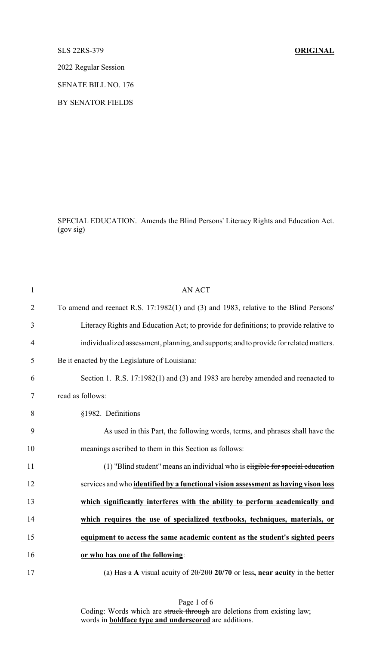## SLS 22RS-379 **ORIGINAL**

2022 Regular Session

SENATE BILL NO. 176

BY SENATOR FIELDS

SPECIAL EDUCATION. Amends the Blind Persons' Literacy Rights and Education Act. (gov sig)

| $\mathbf{1}$   | <b>AN ACT</b>                                                                          |
|----------------|----------------------------------------------------------------------------------------|
| $\overline{2}$ | To amend and reenact R.S. 17:1982(1) and (3) and 1983, relative to the Blind Persons'  |
| 3              | Literacy Rights and Education Act; to provide for definitions; to provide relative to  |
| $\overline{4}$ | individualized assessment, planning, and supports; and to provide for related matters. |
| 5              | Be it enacted by the Legislature of Louisiana:                                         |
| 6              | Section 1. R.S. 17:1982(1) and (3) and 1983 are hereby amended and reenacted to        |
| 7              | read as follows:                                                                       |
| 8              | §1982. Definitions                                                                     |
| 9              | As used in this Part, the following words, terms, and phrases shall have the           |
| 10             | meanings ascribed to them in this Section as follows:                                  |
| 11             | (1) "Blind student" means an individual who is eligible for special education          |
| 12             | services and who identified by a functional vision assessment as having vison loss     |
| 13             | which significantly interferes with the ability to perform academically and            |
| 14             | which requires the use of specialized textbooks, techniques, materials, or             |
| 15             | equipment to access the same academic content as the student's sighted peers           |
| 16             | or who has one of the following:                                                       |
| 17             | (a) Has a A visual acuity of $20/200$ 20/70 or less, near acuity in the better         |

Page 1 of 6 Coding: Words which are struck through are deletions from existing law; words in **boldface type and underscored** are additions.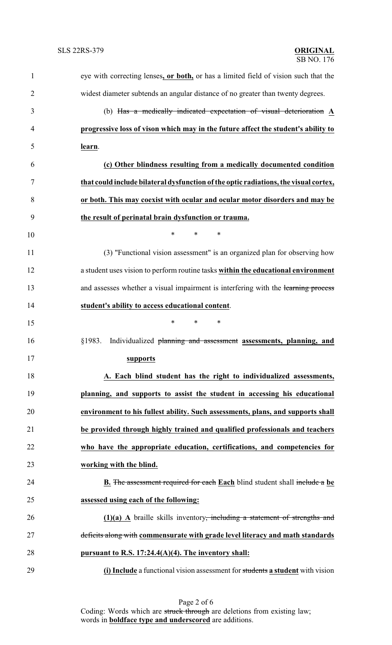| $\mathbf{1}$   | eye with correcting lenses, or both, or has a limited field of vision such that the     |
|----------------|-----------------------------------------------------------------------------------------|
| $\overline{2}$ | widest diameter subtends an angular distance of no greater than twenty degrees.         |
| 3              | (b) Has a medically indicated expectation of visual deterioration $\underline{A}$       |
| 4              | progressive loss of vison which may in the future affect the student's ability to       |
| 5              | learn.                                                                                  |
| 6              | (c) Other blindness resulting from a medically documented condition                     |
| 7              | that could include bilateral dysfunction of the optic radiations, the visual cortex,    |
| 8              | or both. This may coexist with ocular and ocular motor disorders and may be             |
| 9              | the result of perinatal brain dysfunction or trauma.                                    |
| 10             | $\ast$<br>*<br>*                                                                        |
| 11             | (3) "Functional vision assessment" is an organized plan for observing how               |
| 12             | a student uses vision to perform routine tasks within the educational environment       |
| 13             | and assesses whether a visual impairment is interfering with the learning process       |
| 14             | student's ability to access educational content.                                        |
| 15             | *<br>$\ast$<br>$\ast$                                                                   |
| 16             | Individualized planning and assessment assessments, planning, and<br>§1983.             |
| 17             | <u>supports</u>                                                                         |
| 18             | A. Each blind student has the right to individualized assessments,                      |
| 19             | planning, and supports to assist the student in accessing his educational               |
| 20             | environment to his fullest ability. Such assessments, plans, and supports shall         |
| 21             | be provided through highly trained and qualified professionals and teachers             |
| 22             | who have the appropriate education, certifications, and competencies for                |
| 23             | working with the blind.                                                                 |
| 24             | <b>B.</b> The assessment required for each Each blind student shall include a be        |
| 25             | assessed using each of the following:                                                   |
| 26             | $(1)(a)$ A braille skills inventory <del>, including a statement of strengths and</del> |
| 27             | deficits along with commensurate with grade level literacy and math standards           |
| 28             | pursuant to R.S. 17:24.4(A)(4). The inventory shall:                                    |
| 29             | (i) Include a functional vision assessment for students a student with vision           |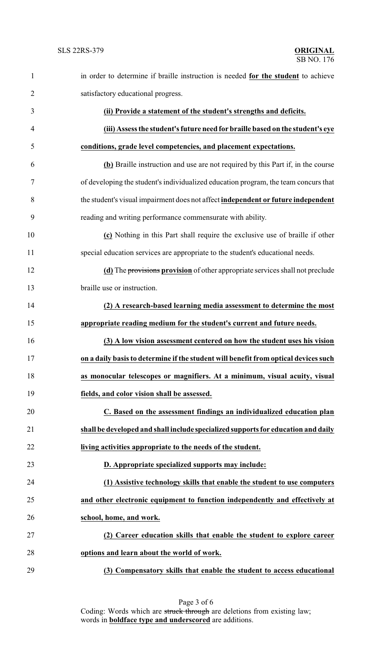| $\mathbf{1}$   | in order to determine if braille instruction is needed for the student to achieve   |
|----------------|-------------------------------------------------------------------------------------|
| $\overline{2}$ | satisfactory educational progress.                                                  |
| 3              | (ii) Provide a statement of the student's strengths and deficits.                   |
| $\overline{4}$ | (iii) Assess the student's future need for braille based on the student's eye       |
| 5              | conditions, grade level competencies, and placement expectations.                   |
| 6              | (b) Braille instruction and use are not required by this Part if, in the course     |
| $\tau$         | of developing the student's individualized education program, the team concurs that |
| 8              | the student's visual impairment does not affect independent or future independent   |
| 9              | reading and writing performance commensurate with ability.                          |
| 10             | (c) Nothing in this Part shall require the exclusive use of braille if other        |
| 11             | special education services are appropriate to the student's educational needs.      |
| 12             | (d) The provisions provision of other appropriate services shall not preclude       |
| 13             | braille use or instruction.                                                         |
| 14             | (2) A research-based learning media assessment to determine the most                |
| 15             | appropriate reading medium for the student's current and future needs.              |
| 16             | (3) A low vision assessment centered on how the student uses his vision             |
| 17             | on a daily basis to determine if the student will benefit from optical devices such |
| 18             | as monocular telescopes or magnifiers. At a minimum, visual acuity, visual          |
| 19             | fields, and color vision shall be assessed.                                         |
| 20             | C. Based on the assessment findings an individualized education plan                |
| 21             | shall be developed and shall include specialized supports for education and daily   |
| 22             | living activities appropriate to the needs of the student.                          |
| 23             | D. Appropriate specialized supports may include:                                    |
| 24             | (1) Assistive technology skills that enable the student to use computers            |
| 25             | and other electronic equipment to function independently and effectively at         |
| 26             | school, home, and work.                                                             |
| 27             | (2) Career education skills that enable the student to explore career               |
| 28             | options and learn about the world of work.                                          |
| 29             | (3) Compensatory skills that enable the student to access educational               |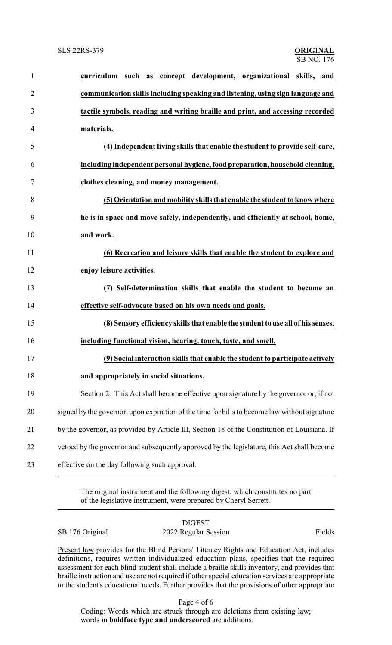| $\mathbf{1}$   | curriculum such as concept development, organizational skills, and                            |
|----------------|-----------------------------------------------------------------------------------------------|
| $\overline{2}$ | communication skills including speaking and listening, using sign language and                |
| 3              | tactile symbols, reading and writing braille and print, and accessing recorded                |
| 4              | materials.                                                                                    |
| 5              | (4) Independent living skills that enable the student to provide self-care,                   |
| 6              | including independent personal hygiene, food preparation, household cleaning,                 |
| 7              | clothes cleaning, and money management.                                                       |
| 8              | (5) Orientation and mobility skills that enable the student to know where                     |
| 9              | he is in space and move safely, independently, and efficiently at school, home,               |
| 10             | and work.                                                                                     |
| 11             | (6) Recreation and leisure skills that enable the student to explore and                      |
| 12             | enjoy leisure activities.                                                                     |
| 13             | (7) Self-determination skills that enable the student to become an                            |
| 14             | effective self-advocate based on his own needs and goals.                                     |
| 15             | (8) Sensory efficiency skills that enable the student to use all of his senses,               |
| 16             | including functional vision, hearing, touch, taste, and smell.                                |
| 17             | (9) Social interaction skills that enable the student to participate actively                 |
| 18             | and appropriately in social situations.                                                       |
| 19             | Section 2. This Act shall become effective upon signature by the governor or, if not          |
| 20             | signed by the governor, upon expiration of the time for bills to become law without signature |
| 21             | by the governor, as provided by Article III, Section 18 of the Constitution of Louisiana. If  |
| 22             | vetoed by the governor and subsequently approved by the legislature, this Act shall become    |
| 23             | effective on the day following such approval.                                                 |

The original instrument and the following digest, which constitutes no part of the legislative instrument, were prepared by Cheryl Serrett.

**DIGEST** SB 176 Original 2022 Regular Session Fields

Present law provides for the Blind Persons' Literacy Rights and Education Act, includes definitions, requires written individualized education plans, specifies that the required assessment for each blind student shall include a braille skills inventory, and provides that braille instruction and use are not required if other special education services are appropriate to the student's educational needs. Further provides that the provisions of other appropriate

Page 4 of 6

Coding: Words which are struck through are deletions from existing law; words in **boldface type and underscored** are additions.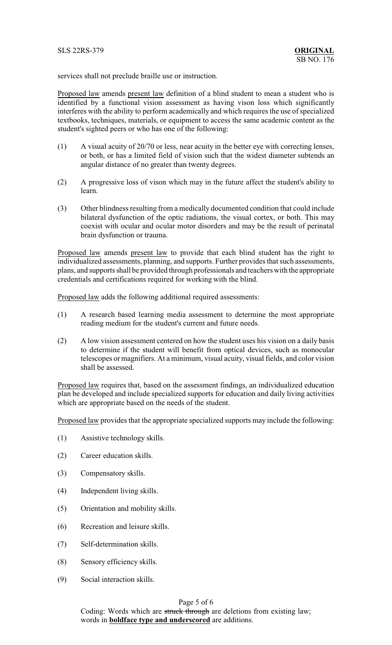services shall not preclude braille use or instruction.

Proposed law amends present law definition of a blind student to mean a student who is identified by a functional vision assessment as having vison loss which significantly interferes with the ability to perform academically and which requires the use of specialized textbooks, techniques, materials, or equipment to access the same academic content as the student's sighted peers or who has one of the following:

- (1) A visual acuity of 20/70 or less, near acuity in the better eye with correcting lenses, or both, or has a limited field of vision such that the widest diameter subtends an angular distance of no greater than twenty degrees.
- (2) A progressive loss of vison which may in the future affect the student's ability to learn.
- (3) Other blindness resulting from a medically documented condition that could include bilateral dysfunction of the optic radiations, the visual cortex, or both. This may coexist with ocular and ocular motor disorders and may be the result of perinatal brain dysfunction or trauma.

Proposed law amends present law to provide that each blind student has the right to individualized assessments, planning, and supports. Further provides that such assessments, plans, and supports shall be provided through professionals and teachers with the appropriate credentials and certifications required for working with the blind.

Proposed law adds the following additional required assessments:

- (1) A research based learning media assessment to determine the most appropriate reading medium for the student's current and future needs.
- (2) A low vision assessment centered on how the student uses his vision on a daily basis to determine if the student will benefit from optical devices, such as monocular telescopes or magnifiers. At a minimum, visual acuity, visual fields, and color vision shall be assessed.

Proposed law requires that, based on the assessment findings, an individualized education plan be developed and include specialized supports for education and daily living activities which are appropriate based on the needs of the student.

Proposed law provides that the appropriate specialized supports may include the following:

- (1) Assistive technology skills.
- (2) Career education skills.
- (3) Compensatory skills.
- (4) Independent living skills.
- (5) Orientation and mobility skills.
- (6) Recreation and leisure skills.
- (7) Self-determination skills.
- (8) Sensory efficiency skills.
- (9) Social interaction skills.

## Page 5 of 6

Coding: Words which are struck through are deletions from existing law; words in **boldface type and underscored** are additions.